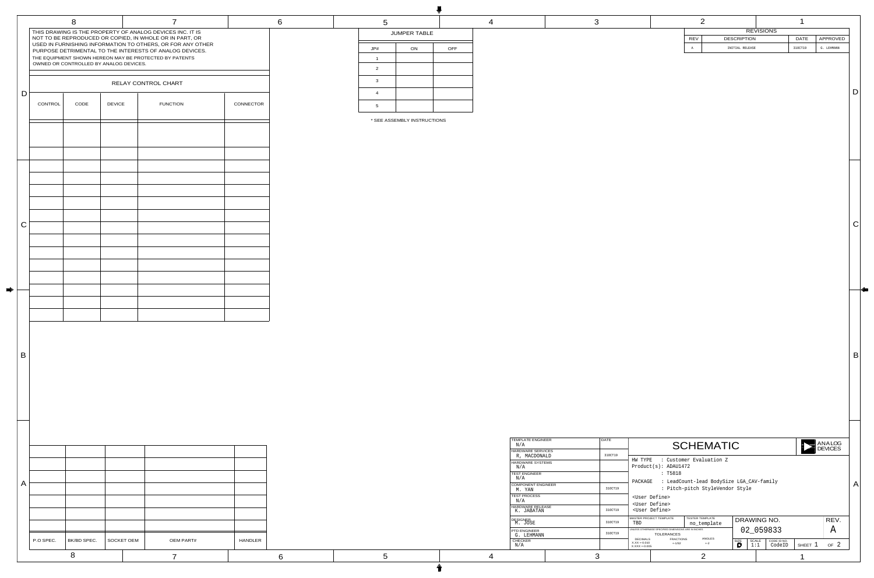| 4                                                    | 3 |                                   |                                                                          | 2               |                                          |                    |                  |             | 1           |                   |              |
|------------------------------------------------------|---|-----------------------------------|--------------------------------------------------------------------------|-----------------|------------------------------------------|--------------------|------------------|-------------|-------------|-------------------|--------------|
|                                                      |   |                                   |                                                                          |                 |                                          |                    | <b>REVISIONS</b> |             |             |                   |              |
|                                                      |   |                                   |                                                                          | <b>REV</b>      |                                          | <b>DESCRIPTION</b> |                  |             | <b>DATE</b> | APPROVED          |              |
|                                                      |   |                                   |                                                                          | Α               |                                          | INITIAL RELEASE    |                  |             | 310CT19     | G. LEHMANN        |              |
|                                                      |   |                                   |                                                                          |                 |                                          |                    |                  |             |             |                   |              |
|                                                      |   |                                   |                                                                          |                 |                                          |                    |                  |             |             |                   |              |
|                                                      |   |                                   |                                                                          |                 |                                          |                    |                  |             |             |                   |              |
|                                                      |   |                                   |                                                                          |                 |                                          |                    |                  |             |             |                   |              |
|                                                      |   |                                   |                                                                          |                 |                                          |                    |                  |             |             |                   | D            |
|                                                      |   |                                   |                                                                          |                 |                                          |                    |                  |             |             |                   |              |
|                                                      |   |                                   |                                                                          |                 |                                          |                    |                  |             |             |                   |              |
|                                                      |   |                                   |                                                                          |                 |                                          |                    |                  |             |             |                   |              |
|                                                      |   |                                   |                                                                          |                 |                                          |                    |                  |             |             |                   |              |
|                                                      |   |                                   |                                                                          |                 |                                          |                    |                  |             |             |                   |              |
|                                                      |   |                                   |                                                                          |                 |                                          |                    |                  |             |             |                   |              |
|                                                      |   |                                   |                                                                          |                 |                                          |                    |                  |             |             |                   |              |
|                                                      |   |                                   |                                                                          |                 |                                          |                    |                  |             |             |                   |              |
|                                                      |   |                                   |                                                                          |                 |                                          |                    |                  |             |             |                   |              |
|                                                      |   |                                   |                                                                          |                 |                                          |                    |                  |             |             |                   |              |
|                                                      |   |                                   |                                                                          |                 |                                          |                    |                  |             |             |                   |              |
|                                                      |   |                                   |                                                                          |                 |                                          |                    |                  |             |             |                   |              |
|                                                      |   |                                   |                                                                          |                 |                                          |                    |                  |             |             |                   |              |
|                                                      |   |                                   |                                                                          |                 |                                          |                    |                  |             |             |                   |              |
|                                                      |   |                                   |                                                                          |                 |                                          |                    |                  |             |             |                   |              |
|                                                      |   |                                   |                                                                          |                 |                                          |                    |                  |             |             |                   | C            |
|                                                      |   |                                   |                                                                          |                 |                                          |                    |                  |             |             |                   |              |
|                                                      |   |                                   |                                                                          |                 |                                          |                    |                  |             |             |                   |              |
|                                                      |   |                                   |                                                                          |                 |                                          |                    |                  |             |             |                   |              |
|                                                      |   |                                   |                                                                          |                 |                                          |                    |                  |             |             |                   |              |
|                                                      |   |                                   |                                                                          |                 |                                          |                    |                  |             |             |                   |              |
|                                                      |   |                                   |                                                                          |                 |                                          |                    |                  |             |             |                   |              |
|                                                      |   |                                   |                                                                          |                 |                                          |                    |                  |             |             |                   |              |
|                                                      |   |                                   |                                                                          |                 |                                          |                    |                  |             |             |                   |              |
|                                                      |   |                                   |                                                                          |                 |                                          |                    |                  |             |             |                   |              |
|                                                      |   |                                   |                                                                          |                 |                                          |                    |                  |             |             |                   |              |
|                                                      |   |                                   |                                                                          |                 |                                          |                    |                  |             |             |                   |              |
|                                                      |   |                                   |                                                                          |                 |                                          |                    |                  |             |             |                   |              |
|                                                      |   |                                   |                                                                          |                 |                                          |                    |                  |             |             |                   |              |
|                                                      |   |                                   |                                                                          |                 |                                          |                    |                  |             |             |                   |              |
|                                                      |   |                                   |                                                                          |                 |                                          |                    |                  |             |             |                   |              |
|                                                      |   |                                   |                                                                          |                 |                                          |                    |                  |             |             |                   | $\mathsf B$  |
|                                                      |   |                                   |                                                                          |                 |                                          |                    |                  |             |             |                   |              |
|                                                      |   |                                   |                                                                          |                 |                                          |                    |                  |             |             |                   |              |
|                                                      |   |                                   |                                                                          |                 |                                          |                    |                  |             |             |                   |              |
|                                                      |   |                                   |                                                                          |                 |                                          |                    |                  |             |             |                   |              |
|                                                      |   |                                   |                                                                          |                 |                                          |                    |                  |             |             |                   |              |
|                                                      |   |                                   |                                                                          |                 |                                          |                    |                  |             |             |                   |              |
|                                                      |   |                                   |                                                                          |                 |                                          |                    |                  |             |             |                   |              |
|                                                      |   |                                   |                                                                          |                 |                                          |                    |                  |             |             |                   |              |
|                                                      |   |                                   |                                                                          |                 |                                          |                    |                  |             |             |                   |              |
|                                                      |   |                                   |                                                                          |                 |                                          |                    |                  |             |             |                   |              |
| TEMPLATE ENGINEER<br>N/A                             |   | <b>DATE</b>                       |                                                                          |                 |                                          |                    |                  |             |             |                   |              |
| HARDWARE SERVICES                                    |   |                                   |                                                                          |                 | <b>SCHEMATIC</b>                         |                    |                  |             |             | ANALOG<br>DEVICES |              |
| R, MACDONALD                                         |   | 310CT19<br>HW TYPE                |                                                                          |                 | : Customer Evaluation Z                  |                    |                  |             |             |                   |              |
| HARDWARE SYSTEMS<br>N/A                              |   |                                   | Product(s): ADAU1472                                                     |                 |                                          |                    |                  |             |             |                   |              |
| <b>TEST ENGINEER</b>                                 |   |                                   | : T5818                                                                  |                 |                                          |                    |                  |             |             |                   |              |
| $\mathrm{N}/\mathrm{A}$<br><b>COMPONENT ENGINEER</b> |   | PACKAGE                           |                                                                          |                 | : LeadCount-lead BodySize LGA_CAV-family |                    |                  |             |             |                   | $\mathsf{A}$ |
| M. YAN                                               |   | 310CT19                           |                                                                          |                 | : Pitch-pitch StyleVendor Style          |                    |                  |             |             |                   |              |
| TEST PROCESS<br>$\mathrm{N}/\mathrm{A}$              |   |                                   | <user define=""></user>                                                  |                 |                                          |                    |                  |             |             |                   |              |
| HARDWARE RELEASE                                     |   | 310CT19                           | <user define=""><br/><user define=""></user></user>                      |                 |                                          |                    |                  |             |             |                   |              |
|                                                      |   |                                   | MASTER PROJECT TEMPLATE                                                  | TESTER TEMPLATE |                                          |                    |                  |             |             |                   |              |
| DESIGNER<br>M. JOSE                                  |   | 310CT19<br>TBD                    |                                                                          |                 | no_template                              |                    | DRAWING NO.      |             |             | REV.              |              |
| PTD ENGINEER                                         |   | 310CT19                           | UNLESS OTHERWISE SPECIFIED DIMENSIONS ARE IN INCHES<br><b>TOLERANCES</b> |                 |                                          |                    | 02_059833        |             |             | $\bm{A}$          |              |
| G. LEHMANN<br><b>CHECKER</b>                         |   | <b>DECIMALS</b><br>$X.XX + 0.010$ | <b>FRACTIONS</b>                                                         |                 | ANGLES                                   | <b>SIZE</b>        | SCALE            | CODE ID NO. |             |                   |              |
| $\mathrm{N}/\mathrm{A}$                              |   | $X.XXX + 0.005$                   | $+ -1/32$                                                                |                 | $+ -2$                                   | D                  | 1:1              | CodeID      | SHEET 1     | OF <sub>2</sub>   |              |
| $\overline{\mathcal{A}}$                             | 3 |                                   |                                                                          |                 | $\overline{2}$                           |                    |                  |             | 1           |                   |              |
|                                                      |   |                                   |                                                                          |                 |                                          |                    |                  |             |             |                   |              |

|              | P.O SPEC. | BK/BD SPEC. | <b>SOCKET OEM</b>                      | <b>OEM PART#</b>                                        | <b>HANDLER</b> |                                              |
|--------------|-----------|-------------|----------------------------------------|---------------------------------------------------------|----------------|----------------------------------------------|
| $\mathsf{A}$ |           |             |                                        |                                                         |                |                                              |
| B            |           |             |                                        |                                                         |                |                                              |
|              |           |             |                                        |                                                         |                |                                              |
|              |           |             |                                        |                                                         |                |                                              |
| $\mathsf C$  |           |             |                                        |                                                         |                |                                              |
|              |           |             |                                        |                                                         |                |                                              |
| $\mathsf D$  | CONTROL   | CODE        | <b>DEVICE</b>                          | <b>FUNCTION</b>                                         | CONNECTOR      | $\overline{4}$<br>$5\overline{)}$<br>* SEE A |
|              |           |             |                                        | RELAY CONTROL CHART                                     |                | $\mathbf{3}$                                 |
|              |           |             | OWNED OR CONTROLLED BY ANALOG DEVICES. | THE EQUIPMENT SHOWN HEREON MAY BE PROTECTED BY PATENTS  |                | $\overline{2}$                               |
|              |           |             |                                        | PURPOSE DETRIMENTAL TO THE INTERESTS OF ANALOG DEVICES. |                | JP#                                          |

| <b>TEMPLATE ENGINEER</b><br>N/A          | <b>DATE</b> |
|------------------------------------------|-------------|
| <b>HARDWARE SERVICES</b><br>R, MACDONALD | 310CT19     |
| <b>HARDWARE SYSTEMS</b><br>N/A           |             |
| <b>TEST ENGINEER</b><br>N/A              |             |
| <b>COMPONENT ENGINEER</b><br>M. YAN      | 310CT19     |
| <b>TEST PROCESS</b><br>N/A               |             |
| <b>HARDWARE RELEASE</b><br>K. JABATAN    | 310CT19     |
| <b>DESIGNER</b><br>M. JOSE               | 310CT19     |
| <b>PTD ENGINEER</b><br>G. LEHMANN        | 310CT19     |
| <b>CHECKER</b><br>N/A                    |             |
|                                          |             |

| 5                   |    |            |  |  |  |  |
|---------------------|----|------------|--|--|--|--|
| <b>JUMPER TABLE</b> |    |            |  |  |  |  |
| JP#                 | ON | <b>OFF</b> |  |  |  |  |
| 1                   |    |            |  |  |  |  |
| 2                   |    |            |  |  |  |  |
| 3                   |    |            |  |  |  |  |
| $\overline{4}$      |    |            |  |  |  |  |
| 5                   |    |            |  |  |  |  |

|--|

\* SEE ASSEMBLY INSTRUCTIONS